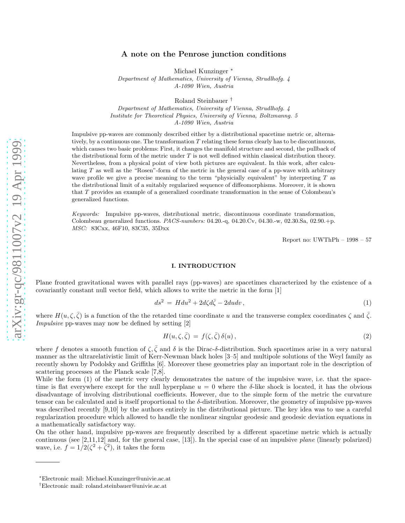# A note on the Penrose junction conditions

Michael Kunzinger<sup>\*</sup>

*Department of Mathematics, University of Vienna, Strudlhofg. 4 A-1090 Wien, Austria*

Roland Steinbauer †

*Department of Mathematics, University of Vienna, Strudlhofg. 4 Institute for Theoretical Physics, University of Vienna, Boltzmanng. 5 A-1090 Wien, Austria*

Impulsive pp-waves are commonly described either by a distributional spacetime metric or, alternatively, by a continuous one. The transformation T relating these forms clearly has to be discontinuous, which causes two basic problems: First, it changes the manifold structure and second, the pullback of the distributional form of the metric under  $T$  is not well defined within classical distribution theory. Nevertheless, from a physical point of view both pictures are equivalent. In this work, after calculating  $T$  as well as the "Rosen"-form of the metric in the general case of a pp-wave with arbitrary wave profile we give a precise meaning to the term "physicially equivalent" by interpreting  $T$  as the distributional limit of a suitably regularized sequence of diffeomorphisms. Moreover, it is shown that T provides an example of a generalized coordinate transformation in the sense of Colombeau's generalized functions.

*Keywords:* Impulsive pp-waves, distributional metric, discontinuous coordinate transformation, Colombeau generalized functions. *PACS-numbers:* 04.20.-q, 04.20.Cv, 04.30.-w, 02.30.Sa, 02.90.+p. *MSC:* 83Cxx, 46F10, 83C35, 35Dxx

Report no: UWThPh – 1998 – 57

# I. INTRODUCTION

Plane fronted gravitational waves with parallel rays (pp-waves) are spacetimes characterized by the existence of a covariantly constant null vector field, which allows to write the metric in the form [1]

$$
ds^2 = H du^2 + 2d\zeta d\bar{\zeta} - 2du dv,
$$
\n(1)

where  $H(u,\zeta,\bar{\zeta})$  is a function of the the retarded time coordinate u and the transverse complex coordinates  $\zeta$  and  $\bar{\zeta}$ . Impulsive pp-waves may now be defined by setting [2]

$$
H(u,\zeta,\bar{\zeta}) = f(\zeta,\bar{\zeta})\,\delta(u)\,,\tag{2}
$$

where f denotes a smooth function of  $\zeta, \bar{\zeta}$  and  $\delta$  is the Dirac- $\delta$ -distribution. Such spacetimes arise in a very natural manner as the ultrarelativistic limit of Kerr-Newman black holes [3–5] and multipole solutions of the Weyl family as recently shown by Podolsky and Griffiths [6]. Moreover these geometries play an important role in the description of scattering processes at the Planck scale [7,8].

While the form (1) of the metric very clearly demonstrates the nature of the impulsive wave, i.e. that the spacetime is flat everywhere except for the null hyperplane  $u = 0$  where the  $\delta$ -like shock is located, it has the obvious disadvantage of involving distributional coefficients. However, due to the simple form of the metric the curvature tensor can be calculated and is itself proportional to the  $\delta$ -distribution. Moreover, the geometry of impulsive pp-waves was described recently [9,10] by the authors entirely in the distributional picture. The key idea was to use a careful regularization procedure which allowed to handle the nonlinear singular geodesic and geodesic deviation equations in a mathematically satisfactory way.

On the other hand, impulsive pp-waves are frequently described by a different spacetime metric which is actually continuous (see [2,11,12] and, for the general case, [13]). In the special case of an impulsive plane (linearly polarized) wave, i.e.  $f = 1/2(\zeta^2 + \overline{\zeta}^2)$ , it takes the form

<sup>∗</sup>Electronic mail: Michael.Kunzinger@univie.ac.at

<sup>†</sup>Electronic mail: roland.steinbauer@univie.ac.at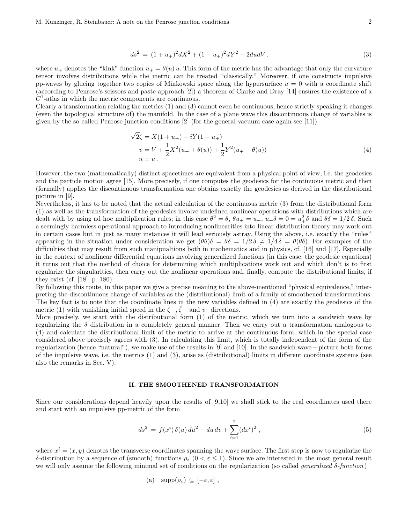$$
ds^{2} = (1+u_{+})^{2}dX^{2} + (1-u_{+})^{2}dY^{2} - 2du dV.
$$
\n(3)

where  $u_+$  denotes the "kink" function  $u_+ = \theta(u) u$ . This form of the metric has the advantage that only the curvature tensor involves distributions while the metric can be treated "classically." Moreover, if one constructs impulsive pp-waves by glueing together two copies of Minkowski space along the hypersurface  $u = 0$  with a coordinate shift (according to Penrose's scissors and paste approach [2]) a theorem of Clarke and Dray [14] ensures the existence of a  $C<sup>1</sup>$ -atlas in which the metric components are continuous.

Clearly a transformation relating the metrics (1) and (3) cannot even be continuous, hence strictly speaking it changes (even the topological structure of) the manifold. In the case of a plane wave this discontinuous change of variables is given by the so called Penrose junction conditions [2] (for the general vacuum case again see [11])

$$
\sqrt{2}\zeta = X(1 + u_{+}) + iY(1 - u_{+})
$$
  
\n
$$
v = V + \frac{1}{2}X^{2}(u_{+} + \theta(u)) + \frac{1}{2}Y^{2}(u_{+} - \theta(u))
$$
  
\n
$$
u = u.
$$
\n(4)

However, the two (mathematically) distinct spacetimes are equivalent from a physical point of view, i.e. the geodesics and the particle motion agree [15]. More precisely, if one computes the geodesics for the continuous metric and then (formally) applies the discontinuous transformation one obtains exactly the geodesics as derived in the distributional picture in [9].

Nevertheless, it has to be noted that the actual calculation of the continuous metric (3) from the distributional form (1) as well as the transformation of the geodesics involve undefined nonlinear operations with distributions which are dealt with by using ad hoc multiplication rules; in this case  $\theta^2 = \theta$ ,  $\theta u_+ = u_+$ ,  $u_+\delta = 0 = u_+^2 \delta$  and  $\theta \delta = 1/2 \delta$ . Such a seemingly harmless operational approach to introducing nonlinearities into linear distribution theory may work out in certain cases but in just as many instances it will lead seriously astray. Using the above, i.e. exactly the "rules" appearing in the situation under consideration we get  $(\theta \theta)\delta = \theta \delta = 1/2 \delta \neq 1/4 \delta = \theta(\theta \delta)$ . For examples of the difficulties that may result from such manipualtions both in mathematics and in physics, cf. [16] and [17]. Especially in the context of nonlinear differential equations involving generalized functions (in this case: the geodesic equations) it turns out that the method of choice for determining which multiplications work out and which don't is to first regularize the singularities, then carry out the nonlinear operations and, finally, compute the distributional limits, if they exist (cf. [18], p. 180).

By following this route, in this paper we give a precise meaning to the above-mentioned "physical equivalence," interpreting the discontinuous change of variables as the (distributional) limit of a family of smoothened transformations. The key fact is to note that the coordinate lines in the new variables defined in (4) are exactly the geodesics of the metric (1) with vanishing initial speed in the  $\zeta$ -,  $\bar{\zeta}$ - and v-directions.

More precisely, we start with the distributional form (1) of the metric, which we turn into a sandwich wave by regularizing the  $\delta$  distribution in a completely general manner. Then we carry out a transformation analogous to (4) and calculate the distributional limit of the metric to arrive at the continuous form, which in the special case considered above precisely agrees with (3). In calculating this limit, which is totally independent of the form of the regularization (hence "natural"), we make use of the results in [9] and [10]. In the sandwich wave – picture both forms of the impulsive wave, i.e. the metrics (1) and (3), arise as (distributional) limits in different coordinate systems (see also the remarks in Sec. V).

## II. THE SMOOTHENED TRANSFORMATION

Since our considerations depend heavily upon the results of [9,10] we shall stick to the real coordinates used there and start with an impulsive pp-metric of the form

$$
ds^{2} = f(x^{i}) \delta(u) du^{2} - du dv + \sum_{i=1}^{2} (dx^{i})^{2} , \qquad (5)
$$

where  $x^i = (x, y)$  denotes the transverse coordinates spanning the wave surface. The first step is now to regularize the δ-distribution by a sequence of (smooth) functions ρ<sup>ε</sup> (0 < ε ≤ 1). Since we are interested in the most general result we will only assume the following minimal set of conditions on the regularization (so called *generalized*  $\delta$ -function)

(a) 
$$
\text{supp}(\rho_{\varepsilon}) \subseteq [-\varepsilon, \varepsilon],
$$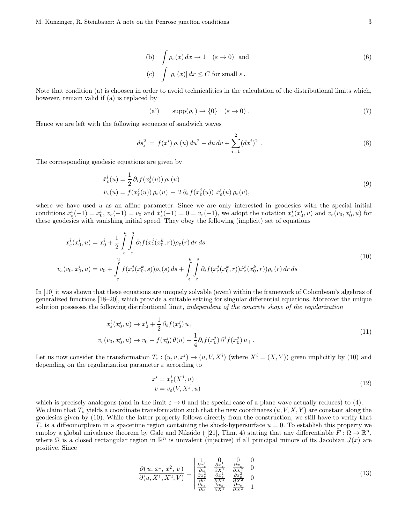(b) 
$$
\int \rho_{\varepsilon}(x) dx \to 1 \quad (\varepsilon \to 0)
$$
 and  
(c)  $\int |\rho_{\varepsilon}(x)| dx \le C$  for small  $\varepsilon$ . (6)

Note that condition (a) is choosen in order to avoid technicalities in the calculation of the distributional limits which, however, remain valid if (a) is replaced by

$$
(a') \qquad \supp(\rho_{\varepsilon}) \to \{0\} \quad (\varepsilon \to 0) \tag{7}
$$

Hence we are left with the following sequence of sandwich waves

$$
ds_{\varepsilon}^{2} = f(x^{i}) \rho_{\varepsilon}(u) du^{2} - du dv + \sum_{i=1}^{2} (dx^{i})^{2} . \tag{8}
$$

The corresponding geodesic equations are given by

$$
\ddot{x}_{\varepsilon}^{i}(u) = \frac{1}{2} \partial_{i} f(x_{\varepsilon}^{j}(u)) \rho_{\varepsilon}(u) \n\ddot{v}_{\varepsilon}(u) = f(x_{\varepsilon}^{j}(u)) \dot{\rho}_{\varepsilon}(u) + 2 \partial_{i} f(x_{\varepsilon}^{j}(u)) \dot{x}_{\varepsilon}^{i}(u) \rho_{\varepsilon}(u),
$$
\n(9)

where we have used  $u$  as an affine parameter. Since we are only interested in geodesics with the special initial conditions  $x_{\varepsilon}^i(-1) = x_0^i$ ,  $v_{\varepsilon}(-1) = v_0$  and  $\dot{x}_{\varepsilon}^i(-1) = 0 = \dot{v}_{\varepsilon}(-1)$ , we adopt the notation  $x_{\varepsilon}^i(x_0^i, u)$  and  $v_{\varepsilon}(v_0, x_0^i, u)$  for these geodesics with vanishing initial speed. They obey the following (implicit) set of equations

$$
x_{\varepsilon}^{i}(x_{0}^{i}, u) = x_{0}^{i} + \frac{1}{2} \int_{-\varepsilon}^{u} \int_{-\varepsilon}^{s} \partial_{i} f(x_{\varepsilon}^{j}(x_{0}^{k}, r)) \rho_{\varepsilon}(r) dr ds
$$
  

$$
v_{\varepsilon}(v_{0}, x_{0}^{i}, u) = v_{0} + \int_{-\varepsilon}^{u} f(x_{\varepsilon}^{j}(x_{0}^{k}, s)) \rho_{\varepsilon}(s) ds + \int_{-\varepsilon}^{u} \int_{-\varepsilon}^{s} \partial_{i} f(x_{\varepsilon}^{j}(x_{0}^{k}, r)) \dot{x}_{\varepsilon}^{i}(x_{0}^{k}, r) \rho_{\varepsilon}(r) dr ds
$$
\n(10)

In [10] it was shown that these equations are uniquely solvable (even) within the framework of Colombeau's algebras of generalized functions [18–20], which provide a suitable setting for singular differential equations. Moreover the unique solution possesses the following distributional limit, *independent of the concrete shape of the regularization* 

$$
x_{\varepsilon}^{i}(x_{0}^{j}, u) \to x_{0}^{i} + \frac{1}{2} \partial_{i} f(x_{0}^{j}) u_{+}
$$
  

$$
v_{\varepsilon}(v_{0}, x_{0}^{j}, u) \to v_{0} + f(x_{0}^{j}) \theta(u) + \frac{1}{4} \partial_{i} f(x_{0}^{j}) \partial^{i} f(x_{0}^{j}) u_{+}.
$$
 (11)

Let us now consider the transformation  $T_{\varepsilon}$  :  $(u, v, x^i) \to (u, V, X^i)$  (where  $X^i = (X, Y)$ ) given implicitly by (10) and depending on the regularization parameter  $\varepsilon$  according to

$$
x^{i} = x_{\varepsilon}^{i}(X^{j}, u)
$$
  
\n
$$
v = v_{\varepsilon}(V, X^{j}, u)
$$
\n(12)

which is precisely analogous (and in the limit  $\varepsilon \to 0$  and the special case of a plane wave actually reduces) to (4). We claim that  $T_{\varepsilon}$  yields a coordinate transformation such that the new coordinates  $(u, V, X, Y)$  are constant along the geodesics given by (10). While the latter property follows directly from the construction, we still have to verify that  $T_{\varepsilon}$  is a diffeomorphism in a spacetime region containing the shock-hypersurface  $u = 0$ . To establish this property we employ a global univalence theorem by Gale and Nikaido ([21], Thm. 4) stating that any differentiable  $F : \Omega \to \mathbb{R}^n$ , where  $\Omega$  is a closed rectangular region in  $\mathbb{R}^n$  is univalent (injective) if all principal minors of its Jacobian  $J(x)$  are positive. Since

$$
\frac{\partial(u, x^1, x^2, v)}{\partial(u, X^1, X^2, V)} = \begin{vmatrix} \frac{1}{\partial x_\xi} & \frac{1}{\partial x_\xi} & 0 & 0\\ \frac{\partial x_\xi}{\partial u} & \frac{\partial x_\xi}{\partial X^1} & \frac{\partial x_\xi}{\partial X^2} & 0\\ \frac{\partial x_\xi}{\partial u} & \frac{\partial x_\xi}{\partial X^1} & \frac{\partial x_\xi}{\partial X^2} & 0\\ \frac{\partial v_\xi}{\partial u} & \frac{\partial v_\xi}{\partial X^1} & \frac{\partial v_\xi}{\partial X^2} & 1 \end{vmatrix}
$$
\n(13)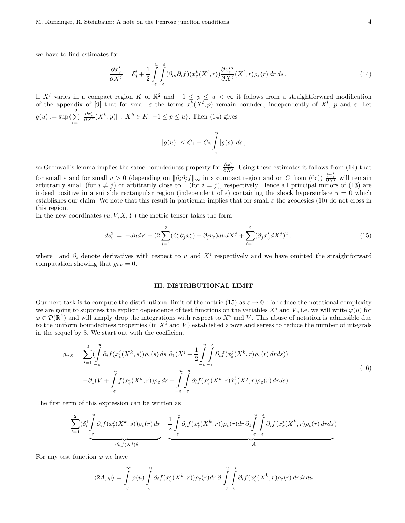we have to find estimates for

$$
\frac{\partial x_{\varepsilon}^{i}}{\partial X^{j}} = \delta_{j}^{i} + \frac{1}{2} \int_{-\varepsilon}^{u} \int_{-\varepsilon}^{s} (\partial_{m} \partial_{i} f)(x_{\varepsilon}^{k}(X^{l}, r)) \frac{\partial x_{\varepsilon}^{m}}{\partial X^{j}}(X^{l}, r) \rho_{\varepsilon}(r) dr ds.
$$
\n(14)

If  $X^l$  varies in a compact region K of  $\mathbb{R}^2$  and  $-1 \leq p \leq u < \infty$  it follows from a straightforward modification of the appendix of [9] that for small  $\varepsilon$  the terms  $x_{\varepsilon}^k(X^l, p)$  remain bounded, independently of  $X^l$ ,  $p$  and  $\varepsilon$ . Let  $g(u) := \sup\{\sum_{i=1}^2$  $\sum_{i=1}^{2} |\frac{\partial x_{\varepsilon}^{i}}{\partial X^{j}}(X^{k}, p)| : X^{k} \in K, -1 \leq p \leq u$ . Then (14) gives

$$
|g(u)| \leq C_1 + C_2 \int_{-\varepsilon}^{u} |g(s)| ds,
$$

so Gronwall's lemma implies the same boundedness property for  $\frac{\partial x_{\varepsilon}^i}{\partial X^j}$ . Using these estimates it follows from (14) that for small  $\varepsilon$  and for small  $u > 0$  (depending on  $\|\partial_i\partial_j f\|_{\infty}$  in a compact region and on C from (6c))  $\frac{\partial x^i_{\varepsilon}}{\partial X^j}$  will remain arbitrarily small (for  $i \neq j$ ) or arbitrarily close to 1 (for  $i = j$ ), respectively. Hence all principal minors of (13) are indeed positive in a suitable rectangular region (independent of  $\epsilon$ ) containing the shock hypersurface  $u = 0$  which establishes our claim. We note that this result in particular implies that for small  $\varepsilon$  the geodesics (10) do not cross in this region.

In the new coordinates  $(u, V, X, Y)$  the metric tensor takes the form

$$
ds_{\varepsilon}^{2} = -du dV + (2 \sum_{i=1}^{2} (\dot{x}_{\varepsilon}^{i} \partial_{j} x_{\varepsilon}^{i}) - \partial_{j} v_{\varepsilon}) du dX^{j} + \sum_{i=1}^{2} (\partial_{j} x_{\varepsilon}^{i} dX^{j})^{2}, \qquad (15)
$$

where  $\dot{\ }$  and  $\partial_i$  denote derivatives with respect to u and  $X^i$  respectively and we have omitted the straightforward computation showing that  $g_{uu} = 0$ .

## III. DISTRIBUTIONAL LIMIT

Our next task is to compute the distributional limit of the metric (15) as  $\varepsilon \to 0$ . To reduce the notational complexity we are going to suppress the explicit dependence of test functions on the variables  $X^i$  and V, i.e. we will write  $\varphi(u)$  for  $\varphi \in \mathcal{D}(\mathbb{R}^4)$  and will simply drop the integrations with respect to  $X^i$  and V. This abuse of notation is admissible due to the uniform boundedness properties (in  $X^i$  and V) established above and serves to reduce the number of integrals in the sequel by 3. We start out with the coefficient

$$
g_{uX} = \sum_{i=1}^{2} \left( \int_{-\varepsilon}^{u} \partial_i f(x_{\varepsilon}^i(X^k, s)) \rho_{\varepsilon}(s) ds \partial_1(X^i + \frac{1}{2} \int_{-\varepsilon}^{u} \int_{-\varepsilon}^{s} \partial_i f(x_{\varepsilon}^j(X^k, r) \rho_{\varepsilon}(r) dr ds) \right) - \partial_1 (V + \int_{-\varepsilon}^{u} f(x_{\varepsilon}^j(X^k, r)) \rho_{\varepsilon} dr + \int_{-\varepsilon}^{u} \int_{-\varepsilon}^{s} \partial_i f(x_{\varepsilon}^j(X^k, r) \dot{x}_{\varepsilon}^l(X^j, r) \rho_{\varepsilon}(r) dr ds)
$$
\n(16)

The first term of this expression can be written as

$$
\sum_{i=1}^{2} (\delta_i^1 \int_{-\epsilon}^u \partial_i f(x_{\epsilon}^j(X^k, s)) \rho_{\epsilon}(r) dr + \underbrace{\frac{1}{2} \int_{-\epsilon}^u \partial_i f(x_{\epsilon}^j(X^k, r)) \rho_{\epsilon}(r) dr}_{\text{max}} \underbrace{\partial_i^1 \int_{-\epsilon}^u \partial_i f(x_{\epsilon}^j(X^k, r) \rho_{\epsilon}(r) dr ds}_{\text{max}})
$$

For any test function  $\varphi$  we have

$$
\langle 2A, \varphi \rangle = \int_{-\varepsilon}^{\infty} \varphi(u) \int_{-\varepsilon}^{u} \partial_{i} f(x_{\varepsilon}^{j}(X^{k}, r)) \rho_{\varepsilon}(r) dr \, \partial_{1} \int_{-\varepsilon}^{u} \int_{-\varepsilon}^{s} \partial_{i} f(x_{\varepsilon}^{j}(X^{k}, r) \rho_{\varepsilon}(r) dr ds du
$$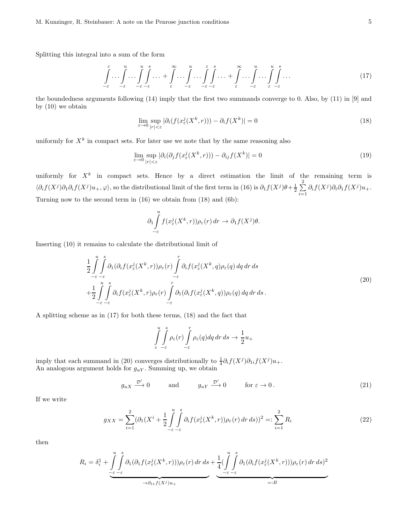Splitting this integral into a sum of the form

$$
\int_{-\varepsilon}^{\varepsilon} \dots \int_{-\varepsilon}^{u} \dots \int_{-\varepsilon}^{u} \int_{-\varepsilon}^{s} \dots + \int_{\varepsilon}^{\infty} \dots \int_{-\varepsilon}^{u} \dots \int_{-\varepsilon}^{\varepsilon} \int_{-\varepsilon}^{s} \dots + \int_{\varepsilon}^{\infty} \dots \int_{-\varepsilon}^{u} \dots \int_{\varepsilon}^{u} \int_{-\varepsilon}^{s} \dots \tag{17}
$$

the boundedness arguments following (14) imply that the first two summands converge to 0. Also, by (11) in [9] and by (10) we obtain

$$
\lim_{\varepsilon \to 0} \sup_{|r| < \varepsilon} |\partial_i (f(x_\varepsilon^j(X^k, r))) - \partial_i f(X^k)| = 0 \tag{18}
$$

uniformly for  $X^k$  in compact sets. For later use we note that by the same reasoning also

$$
\lim_{\varepsilon \to 0} \sup_{|r| < \varepsilon} |\partial_i(\partial_j f(x_\varepsilon^j(X^k, r))) - \partial_{ij} f(X^k)| = 0 \tag{19}
$$

uniformly for  $X^k$  in compact sets. Hence by a direct estimation the limit of the remaining term is  $\langle \partial_i f(X^j) \partial_1 \partial_i f(X^j) u_+, \varphi \rangle$ , so the distributional limit of the first term in (16) is  $\partial_1 f(X^j) \theta + \frac{1}{2} \sum_{j=1}^2$  $\sum_{i=1} \partial_i f(X^j) \partial_i \partial_1 f(X^j) u_+.$ Turning now to the second term in (16) we obtain from (18) and (6b):

$$
\partial_1 \int\limits_{-\varepsilon}^u f(x_\varepsilon^j(X^k, r)) \rho_\varepsilon(r) \, dr \to \partial_1 f(X^j) \theta.
$$

Inserting (10) it remains to calculate the distributional limit of

$$
\frac{1}{2} \int_{-\varepsilon}^{u} \int_{-\varepsilon}^{s} \partial_1(\partial_i f(x^j_{\varepsilon}(X^k, r)) \rho_{\varepsilon}(r) \int_{-\varepsilon}^{r} \partial_i f(x^j_{\varepsilon}(X^k, q) \rho_{\varepsilon}(q) dq dr ds \n+ \frac{1}{2} \int_{-\varepsilon}^{u} \int_{-\varepsilon}^{s} \partial_i f(x^j_{\varepsilon}(X^k, r) \rho_{\varepsilon}(r) \int_{-\varepsilon}^{r} \partial_1(\partial_i f(x^j_{\varepsilon}(X^k, q)) \rho_{\varepsilon}(q) dq dr ds .
$$
\n(20)

A splitting scheme as in (17) for both these terms, (18) and the fact that

$$
\int_{\varepsilon}^{u} \int_{-\varepsilon}^{s} \rho_{\varepsilon}(r) \int_{-\varepsilon}^{r} \rho_{\varepsilon}(q) dq dr ds \to \frac{1}{2} u_{+}
$$

imply that each summand in (20) converges distributionally to  $\frac{1}{4}\partial_i f(X^j)\partial_{1i} f(X^j)u_+$ . An analogous argument holds for  $g_{uY}$ . Summing up, we obtain

$$
g_{uX} \xrightarrow{\mathcal{D}'} 0
$$
 and  $g_{uY} \xrightarrow{\mathcal{D}'} 0$  for  $\varepsilon \to 0$ . (21)

If we write

$$
g_{XX} = \sum_{i=1}^{2} (\partial_1 (X^i + \frac{1}{2} \int \limits_{-\varepsilon}^u \int \limits_{-\varepsilon}^s \partial_i f(x^j_{\varepsilon}(X^k, r)) \rho_{\varepsilon}(r) dr ds))^2 =: \sum_{i=1}^{2} R_i
$$
\n
$$
(22)
$$

then

$$
R_i = \delta_i^1 + \underbrace{\int_{-\varepsilon}^u \int_{-\varepsilon}^s \partial_1(\partial_1 f(x^j_\varepsilon(X^k, r))) \rho_\varepsilon(r) \, dr \, ds}_{\text{at } \to \partial_{11} f(X^j) u_+} + \underbrace{\frac{1}{4} (\int_{-\varepsilon}^u \int_{-\varepsilon}^s \partial_1(\partial_i f(x^j_\varepsilon(X^k, r))) \rho_\varepsilon(r) \, dr \, ds)^2}_{=:B}
$$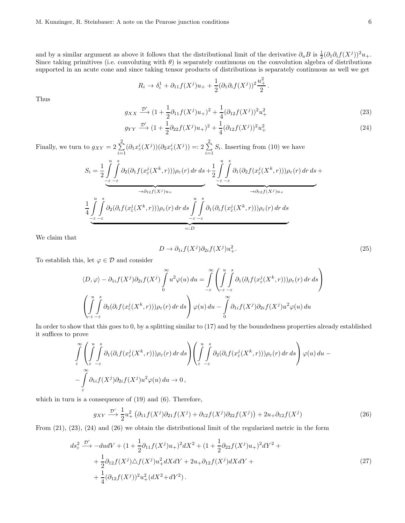and by a similar argument as above it follows that the distributional limit of the derivative  $\partial_u B$  is  $\frac{1}{2}(\partial_1 \partial_i f(X^j))^2 u_+$ . Since taking primitives (i.e. convoluting with  $\theta$ ) is separately continuous on the convolution algebra of distributions supported in an acute cone and since taking tensor products of distributions is separately continuous as well we get

$$
R_i \to \delta_i^1 + \partial_{11} f(X^j) u_+ + \frac{1}{2} (\partial_1 \partial_i f(X^j))^2 \frac{u_+^2}{2}.
$$

Thus

$$
g_{XX} \xrightarrow{\mathcal{D}'} (1 + \frac{1}{2}\partial_{11}f(X^j)u_+)^2 + \frac{1}{4}(\partial_{12}f(X^j))^2u_+^2
$$
\n(23)

$$
g_{YY} \xrightarrow{\mathcal{D}'} (1 + \frac{1}{2} \partial_{22} f(X^j) u_+)^2 + \frac{1}{4} (\partial_{12} f(X^j))^2 u_+^2
$$
\n(24)

Finally, we turn to  $g_{XY} = 2 \sum_{ }^{2}$  $\sum_{i=1}^{2} (\partial_1 x_{\varepsilon}^i(X^j))(\partial_2 x_{\varepsilon}^i(X^j)) =: 2 \sum_{i=1}^{2}$  $\sum_{i=1} S_i$ . Inserting from (10) we have

$$
S_i = \frac{1}{2} \int_{-\epsilon}^{u} \int_{-\epsilon}^{s} \partial_2(\partial_1 f(x_\varepsilon^j(X^k, r))) \rho_\varepsilon(r) dr ds + \frac{1}{2} \int_{-\epsilon}^{u} \int_{-\epsilon}^{s} \partial_1(\partial_2 f(x_\varepsilon^j(X^k, r))) \rho_\varepsilon(r) dr ds + \frac{1}{4} \int_{-\epsilon}^{u} \int_{-\epsilon}^{s} \partial_2(\partial_i f(x_\varepsilon^j(X^k, r))) \rho_\varepsilon(r) dr ds + \frac{1}{4} \int_{-\epsilon}^{u} \int_{-\epsilon}^{s} \partial_2(\partial_i f(x_\varepsilon^j(X^k, r))) \rho_\varepsilon(r) dr ds + \frac{1}{4} \int_{-\epsilon}^{u} \int_{-\epsilon}^{s} \partial_2(\partial_i f(x_\varepsilon^j(X^k, r))) \rho_\varepsilon(r) dr ds + \frac{1}{4} \int_{-\epsilon}^{u} \int_{-\epsilon}^{s} \partial_2(\partial_i f(x_\varepsilon^j(X^k, r))) \rho_\varepsilon(r) dr ds + \frac{1}{4} \int_{-\epsilon}^{u} \int_{-\epsilon}^{s} \rho_\varepsilon(r) dr ds + \frac{1}{4} \int_{-\epsilon}^{u} \int_{-\epsilon}^{s} \rho_\varepsilon(r) dr ds + \frac{1}{4} \int_{-\epsilon}^{u} \int_{-\epsilon}^{s} \rho_\varepsilon(r) dr ds + \frac{1}{4} \int_{-\epsilon}^{u} \int_{-\epsilon}^{s} \rho_\varepsilon(r) dr ds + \frac{1}{4} \int_{-\epsilon}^{u} \int_{-\epsilon}^{s} \rho_\varepsilon(r) dr ds + \frac{1}{4} \int_{-\epsilon}^{u} \int_{-\epsilon}^{s} \rho_\varepsilon(r) dr ds + \frac{1}{4} \int_{-\epsilon}^{u} \int_{-\epsilon}^{s} \rho_\varepsilon(r) dr ds + \frac{1}{4} \int_{-\epsilon}^{u} \int_{-\epsilon}^{s} \rho_\varepsilon(r) dr ds + \frac{1}{4} \int_{-\epsilon}^{u} \int_{-\epsilon}^{s} \rho_\varepsilon(r) dr ds + \frac{1}{4} \int_{-\epsilon}^{u} \int_{-\epsilon}^{s} \rho_\varepsilon(r) dr ds + \frac{1}{4} \int_{-\epsilon}^{u} \int_{-\epsilon}^{s} \rho_\varepsilon(r) dr ds + \frac{1}{4} \int_{-\epsilon}^{u}
$$

We claim that

$$
D \to \partial_{1i} f(X^j) \partial_{2i} f(X^j) u^2_+.
$$
\n<sup>(25)</sup>

To establish this, let  $\varphi \in \mathcal{D}$  and consider

$$
\langle D, \varphi \rangle - \partial_{1i} f(X^{j}) \partial_{2i} f(X^{j}) \int_{0}^{\infty} u^{2} \varphi(u) du = \int_{-\varepsilon}^{\infty} \left( \int_{-\varepsilon}^{u} \int_{-\varepsilon}^{s} \partial_{1} (\partial_{i} f(x_{\varepsilon}^{j}(X^{k}, r))) \rho_{\varepsilon}(r) dr ds \right)
$$

$$
\left( \int_{-\varepsilon}^{u} \int_{-\varepsilon}^{s} \partial_{2} (\partial_{i} f(x_{\varepsilon}^{j}(X^{k}, r))) \rho_{\varepsilon}(r) dr ds \right) \varphi(u) du - \int_{0}^{\infty} \partial_{1i} f(X^{j}) \partial_{2i} f(X^{j}) u^{2} \varphi(u) du
$$

In order to show that this goes to 0, by a splitting similar to (17) and by the boundedness properties already established it suffices to prove

$$
\int_{\varepsilon}^{\infty} \left( \int_{\varepsilon}^{u} \int_{-\varepsilon}^{s} \partial_1(\partial_i f(x^j_{\varepsilon}(X^k, r))) \rho_{\varepsilon}(r) dr ds \right) \left( \int_{\varepsilon}^{u} \int_{-\varepsilon}^{s} \partial_2(\partial_i f(x^j_{\varepsilon}(X^k, r))) \rho_{\varepsilon}(r) dr ds \right) \varphi(u) du - \int_{\varepsilon}^{\infty} \partial_{1i} f(X^j) \partial_{2i} f(X^j) u^2 \varphi(u) du \to 0,
$$

which in turn is a consequence of (19) and (6). Therefore,

$$
g_{XY} \xrightarrow{\mathcal{D}'} \frac{1}{2} u_+^2 \left( \partial_{11} f(X^j) \partial_{21} f(X^j) + \partial_{12} f(X^j) \partial_{22} f(X^j) \right) + 2u_+ \partial_{12} f(X^j) \tag{26}
$$

From (21), (23), (24) and (26) we obtain the distributional limit of the regularized metric in the form

$$
ds_{\varepsilon}^{2} \xrightarrow{\mathcal{D}'} -dudV + (1 + \frac{1}{2}\partial_{11}f(X^{j})u_{+})^{2}dX^{2} + (1 + \frac{1}{2}\partial_{22}f(X^{j})u_{+})^{2}dY^{2} + + \frac{1}{2}\partial_{12}f(X^{j})\triangle f(X^{j})u_{+}^{2}dXdY + 2u_{+}\partial_{12}f(X^{j})dXdY + + \frac{1}{4}(\partial_{12}f(X^{j}))^{2}u_{+}^{2}(dX^{2} + dY^{2}).
$$
\n(27)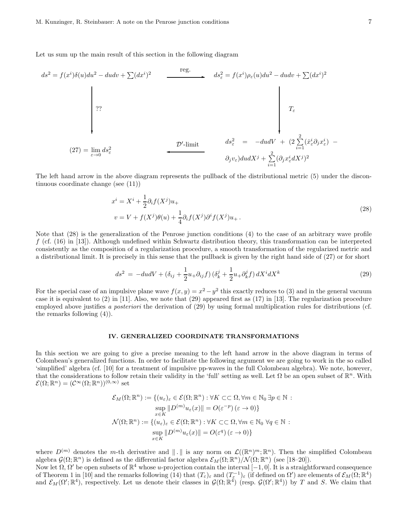Let us sum up the main result of this section in the following diagram

$$
ds^{2} = f(x^{i})\delta(u)du^{2} - dudv + \sum(dx^{i})^{2}
$$
\n
$$
ds_{\varepsilon}^{2} = f(x^{i})\rho_{\varepsilon}(u)du^{2} - dudv + \sum(dx^{i})^{2}
$$
\n
$$
ds_{\varepsilon}^{2} = f(x^{i})\rho_{\varepsilon}(u)du^{2} - dudv + \sum(dx^{i})^{2}
$$
\n
$$
T_{\varepsilon}
$$
\n
$$
T_{\varepsilon}
$$
\n
$$
D' - \text{limit}
$$
\n
$$
ds_{\varepsilon}^{2} = -dudV + (2\sum_{i=1}^{2} (\dot{x}_{\varepsilon}^{i}\partial_{j}x_{\varepsilon}^{i}) - \partial_{j}v_{\varepsilon})dudX^{j} + \sum_{i=1}^{2} (\partial_{j}x_{\varepsilon}^{i}dX^{j})^{2}
$$

The left hand arrow in the above diagram represents the pullback of the distributional metric (5) under the discontinuous coordinate change (see (11))

$$
xi = Xi + \frac{1}{2}\partial_i f(Xj)u_+
$$
  
\n
$$
v = V + f(Xj)\theta(u) + \frac{1}{4}\partial_i f(Xj)\partial^i f(Xj)u_+.
$$
\n(28)

Note that (28) is the generalization of the Penrose junction conditions (4) to the case of an arbitrary wave profile  $f$  (cf. (16) in [13]). Although undefined within Schwartz distribution theory, this transformation can be interpreted consistently as the composition of a regularization procedure, a smooth transformation of the regularized metric and a distributional limit. It is precisely in this sense that the pullback is given by the right hand side of (27) or for short

$$
ds^{2} = -du dV + \left(\delta_{ij} + \frac{1}{2}u_{+}\partial_{ij}f\right)\left(\delta_{k}^{j} + \frac{1}{2}u_{+}\partial_{k}^{j}f\right)dX^{i}dX^{k}
$$
\n
$$
\tag{29}
$$

For the special case of an impulsive plane wave  $f(x, y) = x^2 - y^2$  this exactly reduces to (3) and in the general vacuum case it is equivalent to  $(2)$  in [11]. Also, we note that  $(29)$  appeared first as  $(17)$  in [13]. The regularization procedure employed above justifies a posteriori the derivation of (29) by using formal multiplication rules for distributions (cf. the remarks following (4)).

#### IV. GENERALIZED COORDINATE TRANSFORMATIONS

In this section we are going to give a precise meaning to the left hand arrow in the above diagram in terms of Colombeau's generalized functions. In order to facilitate the following argument we are going to work in the so called 'simplified' algebra (cf. [10] for a treatment of impulsive pp-waves in the full Colombeau algebra). We note, however, that the considerations to follow retain their validity in the 'full' setting as well. Let  $\Omega$  be an open subset of  $\mathbb{R}^n$ . With  $\mathcal{E}(\Omega;\mathbb{R}^n) = (\mathcal{C}^{\infty}(\Omega;\mathbb{R}^n))^{(0,\infty)}$  set

$$
\mathcal{E}_M(\Omega; \mathbb{R}^n) := \{ (u_{\varepsilon})_{\varepsilon} \in \mathcal{E}(\Omega; \mathbb{R}^n) : \forall K \subset\subset \Omega, \forall m \in \mathbb{N}_0 \exists p \in \mathbb{N} :
$$

$$
\sup_{x \in K} ||D^{(m)}u_{\varepsilon}(x)|| = O(\varepsilon^{-p}) (\varepsilon \to 0) \}
$$

$$
\mathcal{N}(\Omega; \mathbb{R}^n) := \{ (u_{\varepsilon})_{\varepsilon} \in \mathcal{E}(\Omega; \mathbb{R}^n) : \forall K \subset\subset \Omega, \forall m \in \mathbb{N}_0 \ \forall q \in \mathbb{N} :
$$

$$
\sup_{x \in K} ||D^{(m)}u_{\varepsilon}(x)|| = O(\varepsilon^q) (\varepsilon \to 0) \}
$$

where  $D^{(m)}$  denotes the m-th derivative and  $\| \cdot \|$  is any norm on  $\mathcal{L}((\mathbb{R}^n)^m; \mathbb{R}^n)$ . Then the simplified Colombeau algebra  $\mathcal{G}(\Omega;\mathbb{R}^n)$  is defined as the differential factor algebra  $\mathcal{E}_M(\Omega;\mathbb{R}^n)/\mathcal{N}(\Omega;\mathbb{R}^n)$  (see [18-20]).

Now let  $\Omega$ ,  $\Omega'$  be open subsets of  $\mathbb{R}^4$  whose u-projection contain the interval  $[-1, 0]$ . It is a straightforward consequence of Theorem 1 in [10] and the remarks following (14) that  $(T_{\varepsilon})_{\varepsilon}$  and  $(T_{\varepsilon}^{-1})_{\varepsilon}$  (if defined on  $\Omega'$ ) are elements of  $\mathcal{E}_M(\Omega;\mathbb{R}^4)$ and  $\mathcal{E}_M(\Omega'; \mathbb{R}^4)$ , respectively. Let us denote their classes in  $\mathcal{G}(\Omega; \mathbb{R}^4)$  (resp.  $\mathcal{G}(\Omega'; \mathbb{R}^4)$ ) by T and S. We claim that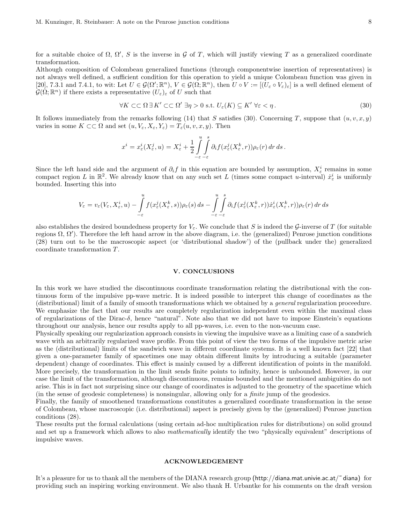for a suitable choice of  $\Omega$ ,  $\Omega'$ , S is the inverse in G of T, which will justify viewing T as a generalized coordinate transformation.

Although composition of Colombeau generalized functions (through componentwise insertion of representatives) is not always well defined, a sufficient condition for this operation to yield a unique Colombeau function was given in [20], 7.3.1 and 7.4.1, to wit: Let  $U \in \mathcal{G}(\Omega'; \mathbb{R}^n)$ ,  $V \in \mathcal{G}(\Omega; \mathbb{R}^n)$ , then  $U \circ V := [(U_{\varepsilon} \circ V_{\varepsilon})_{\varepsilon}]$  is a well defined element of  $\mathcal{G}(\Omega;\mathbb{R}^n)$  if there exists a representative  $(U_{\varepsilon})_{\varepsilon}$  of U such that

$$
\forall K \subset\subset \Omega \,\exists K' \subset\subset \Omega' \,\exists \eta > 0 \text{ s.t. } U_{\varepsilon}(K) \subseteq K' \,\forall \varepsilon < \eta \,. \tag{30}
$$

It follows immediately from the remarks following (14) that S satisfies (30). Concerning T, suppose that  $(u, v, x, y)$ varies in some  $K \subset\subset \Omega$  and set  $(u, V_{\varepsilon}, X_{\varepsilon}, Y_{\varepsilon}) = T_{\varepsilon}(u, v, x, y)$ . Then

$$
x^i=x^i_\varepsilon(X^j_\varepsilon,u)=X^i_\varepsilon+\frac{1}{2}\int\limits_{-\varepsilon}^u\int\limits_{-\varepsilon}^s\partial_if(x^j_\varepsilon(X^k_\varepsilon,r))\rho_\varepsilon(r)\,dr\,ds\,.
$$

Since the left hand side and the argument of  $\partial_i f$  in this equation are bounded by assumption,  $X_\varepsilon^i$  remains in some compact region L in  $\mathbb{R}^2$ . We already know that on any such set L (times some compact u-interval)  $\dot{x}^i_{\varepsilon}$  is uniformly bounded. Inserting this into

$$
V_{\varepsilon} = v_{\varepsilon}(V_{\varepsilon}, X_{\varepsilon}^{i}, u) - \int\limits_{-\varepsilon}^{u} f(x_{\varepsilon}^{j}(X_{\varepsilon}^{k}, s)) \rho_{\varepsilon}(s) ds - \int\limits_{-\varepsilon}^{u} \int\limits_{-\varepsilon}^{s} \partial_{i} f(x_{\varepsilon}^{j}(X_{\varepsilon}^{k}, r)) \dot{x}_{\varepsilon}^{i}(X_{\varepsilon}^{k}, r) \rho_{\varepsilon}(r) dr ds
$$

also establishes the desired boundedness property for  $V_{\varepsilon}$ . We conclude that S is indeed the G-inverse of T (for suitable regions  $Ω$ ,  $Ω'$ ). Therefore the left hand arrow in the above diagram, i.e. the (generalized) Penrose junction conditions (28) turn out to be the macroscopic aspect (or 'distributional shadow') of the (pullback under the) generalized coordinate transformation  $T$ .

#### V. CONCLUSIONS

In this work we have studied the discontinuous coordinate transformation relating the distributional with the continuous form of the impulsive pp-wave metric. It is indeed possible to interpret this change of coordinates as the (distributional) limit of a family of smooth transformations which we obtained by a general regularization proceedure. We emphasize the fact that our results are completely regularization independent even within the maximal class of regularizations of the Dirac-δ, hence "natural". Note also that we did not have to impose Einstein's equations throughout our analysis, hence our results apply to all pp-waves, i.e. even to the non-vacuum case.

Physically speaking our regularization approach consists in viewing the impulsive wave as a limiting case of a sandwich wave with an arbitrarily regularized wave profile. From this point of view the two forms of the impulsive metric arise as the (distributional) limits of the sandwich wave in different coordinate systems. It is a well known fact [22] that given a one-parameter family of spacetimes one may obtain different limits by introducing a suitable (parameter dependent) change of coordinates. This effect is mainly caused by a different identification of points in the manifold. More precisely, the transformation in the limit sends finite points to infinity, hence is unbounded. However, in our case the limit of the transformation, although discontinuous, remains bounded and the mentioned ambiguities do not arise. This is in fact not surprising since our change of coordinates is adjusted to the geometry of the spacetime which (in the sense of geodesic completeness) is nonsingular, allowing only for a finite jump of the geodesics.

Finally, the family of smoothened transformations constitutes a generalized coordinate transformation in the sense of Colombeau, whose macroscopic (i.e. distributional) aspect is precisely given by the (generalized) Penrose junction conditions (28).

These results put the formal calculations (using certain ad-hoc multiplication rules for distributions) on solid ground and set up a framework which allows to also *mathematically* identify the two "physically equivalent" descriptions of impulsive waves.

# ACKNOWLEDGEMENT

It's a pleasure for us to thank all the members of the DIANA research group (http://diana.mat.univie.ac.at/˜ diana) for providing such an inspiring working environment. We also thank H. Urbantke for his comments on the draft version